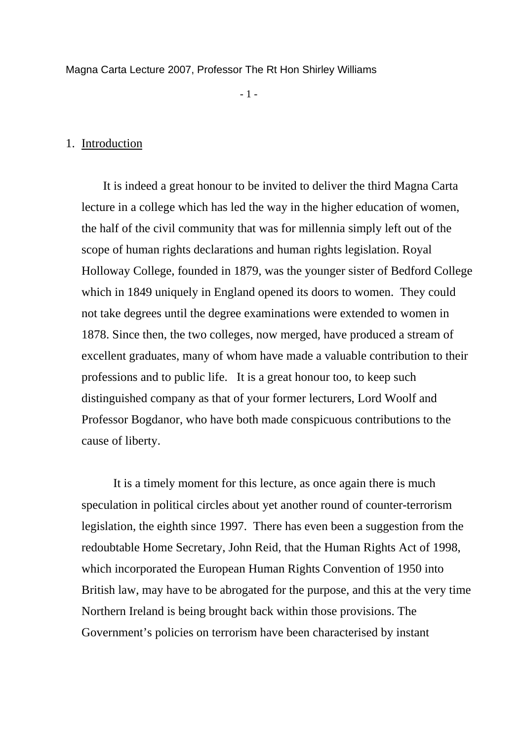Magna Carta Lecture 2007, Professor The Rt Hon Shirley Williams

 $-1$  -  $-1$  -  $-1$  -

# 1. Introduction

 It is indeed a great honour to be invited to deliver the third Magna Carta lecture in a college which has led the way in the higher education of women, the half of the civil community that was for millennia simply left out of the scope of human rights declarations and human rights legislation. Royal Holloway College, founded in 1879, was the younger sister of Bedford College which in 1849 uniquely in England opened its doors to women. They could not take degrees until the degree examinations were extended to women in 1878. Since then, the two colleges, now merged, have produced a stream of excellent graduates, many of whom have made a valuable contribution to their professions and to public life. It is a great honour too, to keep such distinguished company as that of your former lecturers, Lord Woolf and Professor Bogdanor, who have both made conspicuous contributions to the cause of liberty.

 It is a timely moment for this lecture, as once again there is much speculation in political circles about yet another round of counter-terrorism legislation, the eighth since 1997. There has even been a suggestion from the redoubtable Home Secretary, John Reid, that the Human Rights Act of 1998, which incorporated the European Human Rights Convention of 1950 into British law, may have to be abrogated for the purpose, and this at the very time Northern Ireland is being brought back within those provisions. The Government's policies on terrorism have been characterised by instant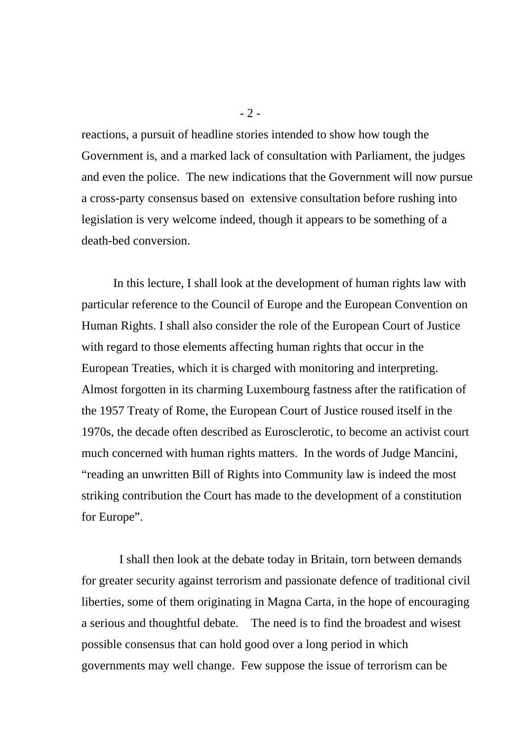reactions, a pursuit of headline stories intended to show how tough the Government is, and a marked lack of consultation with Parliament, the judges and even the police. The new indications that the Government will now pursue a cross-party consensus based on extensive consultation before rushing into legislation is very welcome indeed, though it appears to be something of a death-bed conversion.

In this lecture, I shall look at the development of human rights law with particular reference to the Council of Europe and the European Convention on Human Rights. I shall also consider the role of the European Court of Justice with regard to those elements affecting human rights that occur in the European Treaties, which it is charged with monitoring and interpreting. Almost forgotten in its charming Luxembourg fastness after the ratification of the 1957 Treaty of Rome, the European Court of Justice roused itself in the 1970s, the decade often described as Eurosclerotic, to become an activist court much concerned with human rights matters. In the words of Judge Mancini, "reading an unwritten Bill of Rights into Community law is indeed the most striking contribution the Court has made to the development of a constitution for Europe".

 I shall then look at the debate today in Britain, torn between demands for greater security against terrorism and passionate defence of traditional civil liberties, some of them originating in Magna Carta, in the hope of encouraging a serious and thoughtful debate. The need is to find the broadest and wisest possible consensus that can hold good over a long period in which governments may well change. Few suppose the issue of terrorism can be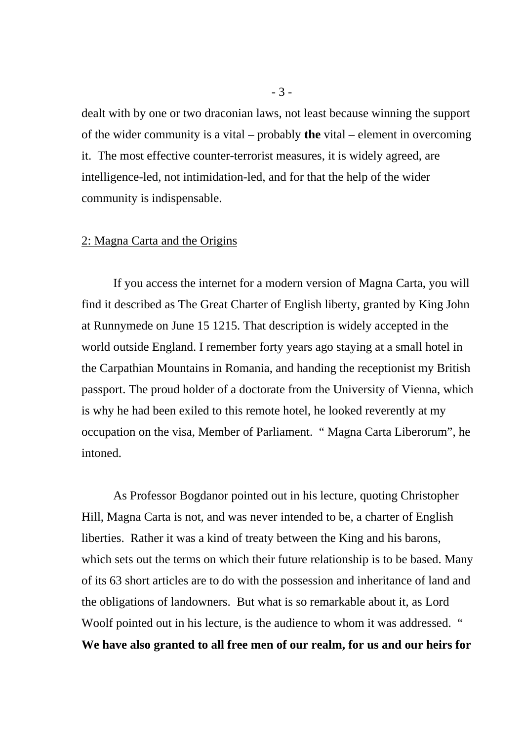dealt with by one or two draconian laws, not least because winning the support of the wider community is a vital – probably **the** vital – element in overcoming it. The most effective counter-terrorist measures, it is widely agreed, are intelligence-led, not intimidation-led, and for that the help of the wider community is indispensable.

## 2: Magna Carta and the Origins

 If you access the internet for a modern version of Magna Carta, you will find it described as The Great Charter of English liberty, granted by King John at Runnymede on June 15 1215. That description is widely accepted in the world outside England. I remember forty years ago staying at a small hotel in the Carpathian Mountains in Romania, and handing the receptionist my British passport. The proud holder of a doctorate from the University of Vienna, which is why he had been exiled to this remote hotel, he looked reverently at my occupation on the visa, Member of Parliament. " Magna Carta Liberorum", he intoned.

 As Professor Bogdanor pointed out in his lecture, quoting Christopher Hill, Magna Carta is not, and was never intended to be, a charter of English liberties. Rather it was a kind of treaty between the King and his barons, which sets out the terms on which their future relationship is to be based. Many of its 63 short articles are to do with the possession and inheritance of land and the obligations of landowners. But what is so remarkable about it, as Lord Woolf pointed out in his lecture, is the audience to whom it was addressed. " **We have also granted to all free men of our realm, for us and our heirs for**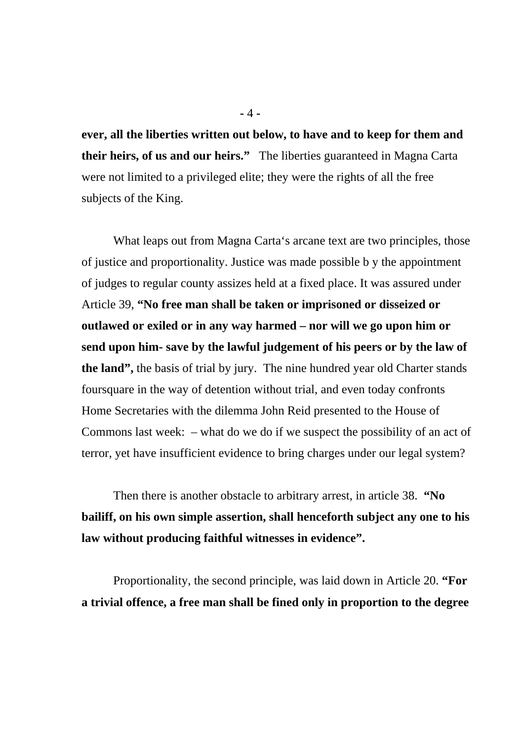**ever, all the liberties written out below, to have and to keep for them and their heirs, of us and our heirs."** The liberties guaranteed in Magna Carta were not limited to a privileged elite; they were the rights of all the free subjects of the King.

 What leaps out from Magna Carta's arcane text are two principles, those of justice and proportionality. Justice was made possible b y the appointment of judges to regular county assizes held at a fixed place. It was assured under Article 39, **"No free man shall be taken or imprisoned or disseized or outlawed or exiled or in any way harmed – nor will we go upon him or send upon him- save by the lawful judgement of his peers or by the law of the land",** the basis of trial by jury. The nine hundred year old Charter stands foursquare in the way of detention without trial, and even today confronts Home Secretaries with the dilemma John Reid presented to the House of Commons last week: – what do we do if we suspect the possibility of an act of terror, yet have insufficient evidence to bring charges under our legal system?

 Then there is another obstacle to arbitrary arrest, in article 38. **"No bailiff, on his own simple assertion, shall henceforth subject any one to his law without producing faithful witnesses in evidence".** 

 Proportionality, the second principle, was laid down in Article 20. **"For a trivial offence, a free man shall be fined only in proportion to the degree**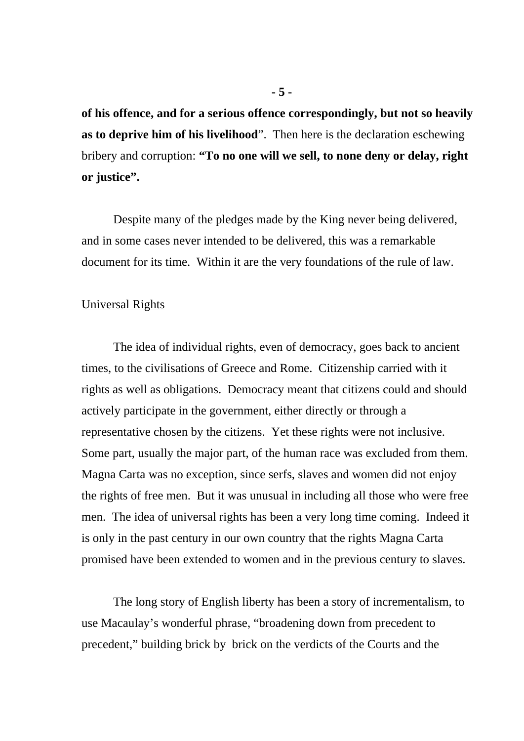**of his offence, and for a serious offence correspondingly, but not so heavily as to deprive him of his livelihood**". Then here is the declaration eschewing bribery and corruption: **"To no one will we sell, to none deny or delay, right or justice".** 

Despite many of the pledges made by the King never being delivered, and in some cases never intended to be delivered, this was a remarkable document for its time. Within it are the very foundations of the rule of law.

## Universal Rights

The idea of individual rights, even of democracy, goes back to ancient times, to the civilisations of Greece and Rome. Citizenship carried with it rights as well as obligations. Democracy meant that citizens could and should actively participate in the government, either directly or through a representative chosen by the citizens. Yet these rights were not inclusive. Some part, usually the major part, of the human race was excluded from them. Magna Carta was no exception, since serfs, slaves and women did not enjoy the rights of free men. But it was unusual in including all those who were free men. The idea of universal rights has been a very long time coming. Indeed it is only in the past century in our own country that the rights Magna Carta promised have been extended to women and in the previous century to slaves.

 The long story of English liberty has been a story of incrementalism, to use Macaulay's wonderful phrase, "broadening down from precedent to precedent," building brick by brick on the verdicts of the Courts and the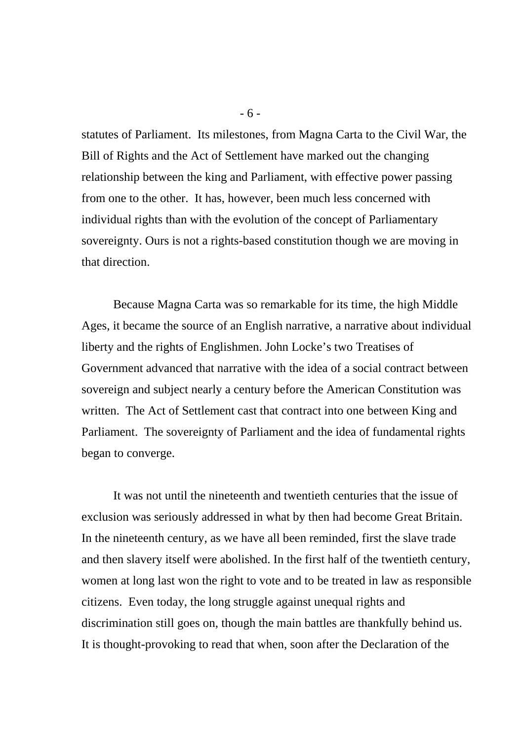statutes of Parliament. Its milestones, from Magna Carta to the Civil War, the Bill of Rights and the Act of Settlement have marked out the changing relationship between the king and Parliament, with effective power passing from one to the other. It has, however, been much less concerned with individual rights than with the evolution of the concept of Parliamentary sovereignty. Ours is not a rights-based constitution though we are moving in that direction.

Because Magna Carta was so remarkable for its time, the high Middle Ages, it became the source of an English narrative, a narrative about individual liberty and the rights of Englishmen. John Locke's two Treatises of Government advanced that narrative with the idea of a social contract between sovereign and subject nearly a century before the American Constitution was written. The Act of Settlement cast that contract into one between King and Parliament. The sovereignty of Parliament and the idea of fundamental rights began to converge.

It was not until the nineteenth and twentieth centuries that the issue of exclusion was seriously addressed in what by then had become Great Britain. In the nineteenth century, as we have all been reminded, first the slave trade and then slavery itself were abolished. In the first half of the twentieth century, women at long last won the right to vote and to be treated in law as responsible citizens. Even today, the long struggle against unequal rights and discrimination still goes on, though the main battles are thankfully behind us. It is thought-provoking to read that when, soon after the Declaration of the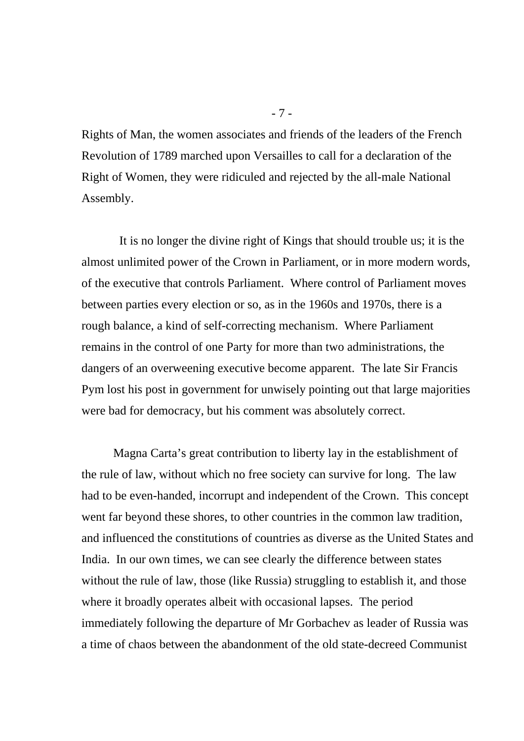Rights of Man, the women associates and friends of the leaders of the French Revolution of 1789 marched upon Versailles to call for a declaration of the Right of Women, they were ridiculed and rejected by the all-male National Assembly.

 It is no longer the divine right of Kings that should trouble us; it is the almost unlimited power of the Crown in Parliament, or in more modern words, of the executive that controls Parliament. Where control of Parliament moves between parties every election or so, as in the 1960s and 1970s, there is a rough balance, a kind of self-correcting mechanism. Where Parliament remains in the control of one Party for more than two administrations, the dangers of an overweening executive become apparent. The late Sir Francis Pym lost his post in government for unwisely pointing out that large majorities were bad for democracy, but his comment was absolutely correct.

 Magna Carta's great contribution to liberty lay in the establishment of the rule of law, without which no free society can survive for long. The law had to be even-handed, incorrupt and independent of the Crown. This concept went far beyond these shores, to other countries in the common law tradition, and influenced the constitutions of countries as diverse as the United States and India. In our own times, we can see clearly the difference between states without the rule of law, those (like Russia) struggling to establish it, and those where it broadly operates albeit with occasional lapses. The period immediately following the departure of Mr Gorbachev as leader of Russia was a time of chaos between the abandonment of the old state-decreed Communist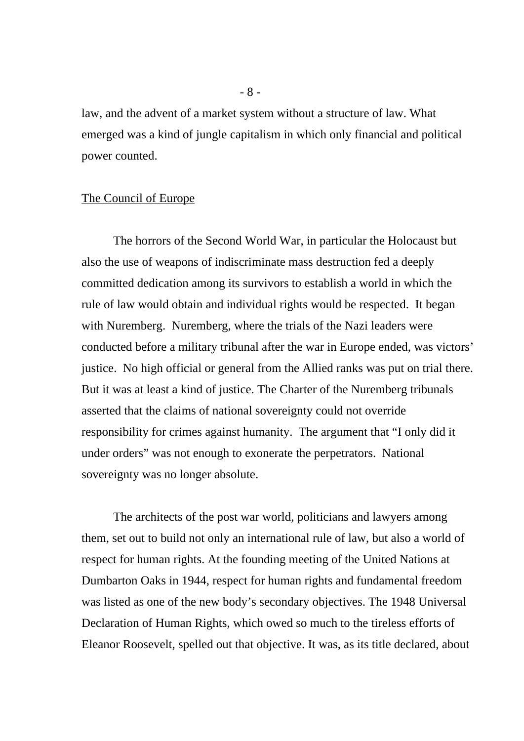law, and the advent of a market system without a structure of law. What emerged was a kind of jungle capitalism in which only financial and political power counted.

# The Council of Europe

The horrors of the Second World War, in particular the Holocaust but also the use of weapons of indiscriminate mass destruction fed a deeply committed dedication among its survivors to establish a world in which the rule of law would obtain and individual rights would be respected. It began with Nuremberg. Nuremberg, where the trials of the Nazi leaders were conducted before a military tribunal after the war in Europe ended, was victors' justice. No high official or general from the Allied ranks was put on trial there. But it was at least a kind of justice. The Charter of the Nuremberg tribunals asserted that the claims of national sovereignty could not override responsibility for crimes against humanity. The argument that "I only did it under orders" was not enough to exonerate the perpetrators. National sovereignty was no longer absolute.

 The architects of the post war world, politicians and lawyers among them, set out to build not only an international rule of law, but also a world of respect for human rights. At the founding meeting of the United Nations at Dumbarton Oaks in 1944, respect for human rights and fundamental freedom was listed as one of the new body's secondary objectives. The 1948 Universal Declaration of Human Rights, which owed so much to the tireless efforts of Eleanor Roosevelt, spelled out that objective. It was, as its title declared, about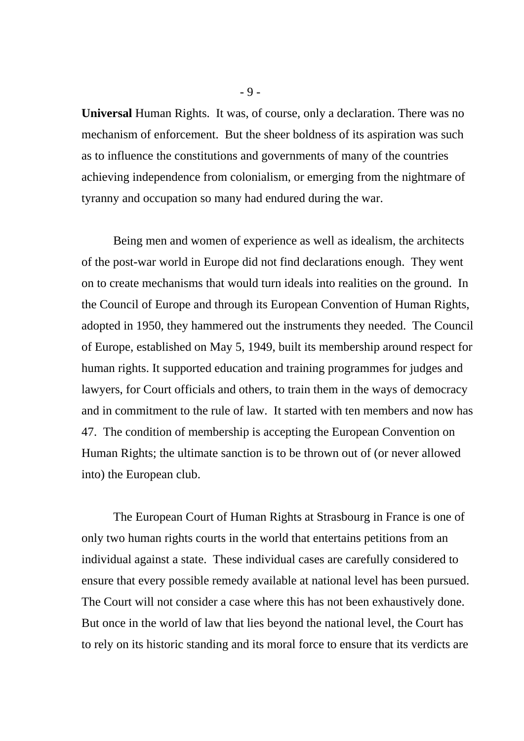**Universal** Human Rights. It was, of course, only a declaration. There was no mechanism of enforcement. But the sheer boldness of its aspiration was such as to influence the constitutions and governments of many of the countries achieving independence from colonialism, or emerging from the nightmare of tyranny and occupation so many had endured during the war.

Being men and women of experience as well as idealism, the architects of the post-war world in Europe did not find declarations enough. They went on to create mechanisms that would turn ideals into realities on the ground. In the Council of Europe and through its European Convention of Human Rights, adopted in 1950, they hammered out the instruments they needed. The Council of Europe, established on May 5, 1949, built its membership around respect for human rights. It supported education and training programmes for judges and lawyers, for Court officials and others, to train them in the ways of democracy and in commitment to the rule of law. It started with ten members and now has 47. The condition of membership is accepting the European Convention on Human Rights; the ultimate sanction is to be thrown out of (or never allowed into) the European club.

 The European Court of Human Rights at Strasbourg in France is one of only two human rights courts in the world that entertains petitions from an individual against a state. These individual cases are carefully considered to ensure that every possible remedy available at national level has been pursued. The Court will not consider a case where this has not been exhaustively done. But once in the world of law that lies beyond the national level, the Court has to rely on its historic standing and its moral force to ensure that its verdicts are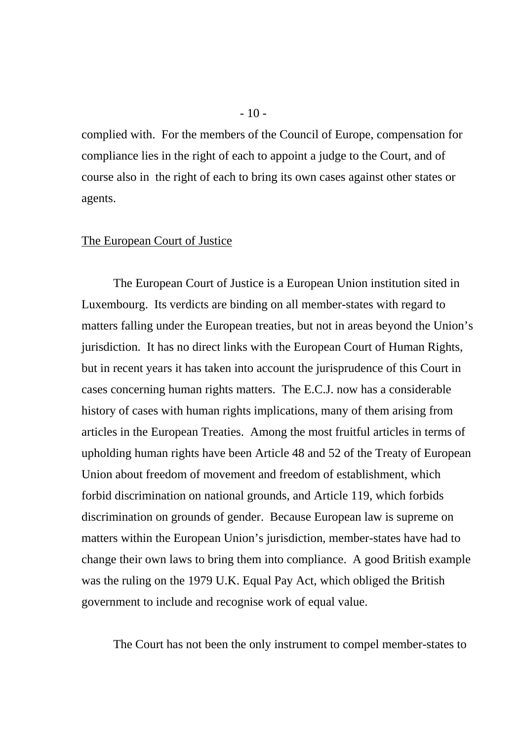complied with. For the members of the Council of Europe, compensation for compliance lies in the right of each to appoint a judge to the Court, and of course also in the right of each to bring its own cases against other states or agents.

## The European Court of Justice

The European Court of Justice is a European Union institution sited in Luxembourg. Its verdicts are binding on all member-states with regard to matters falling under the European treaties, but not in areas beyond the Union's jurisdiction. It has no direct links with the European Court of Human Rights, but in recent years it has taken into account the jurisprudence of this Court in cases concerning human rights matters. The E.C.J. now has a considerable history of cases with human rights implications, many of them arising from articles in the European Treaties. Among the most fruitful articles in terms of upholding human rights have been Article 48 and 52 of the Treaty of European Union about freedom of movement and freedom of establishment, which forbid discrimination on national grounds, and Article 119, which forbids discrimination on grounds of gender. Because European law is supreme on matters within the European Union's jurisdiction, member-states have had to change their own laws to bring them into compliance. A good British example was the ruling on the 1979 U.K. Equal Pay Act, which obliged the British government to include and recognise work of equal value.

The Court has not been the only instrument to compel member-states to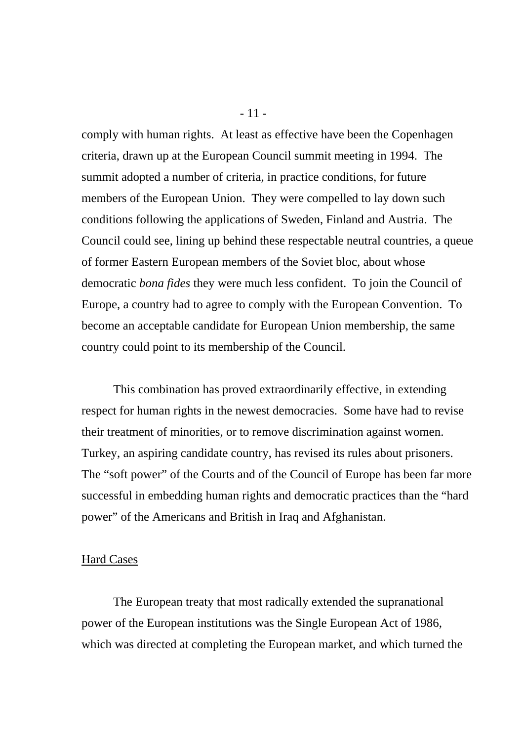comply with human rights. At least as effective have been the Copenhagen criteria, drawn up at the European Council summit meeting in 1994. The summit adopted a number of criteria, in practice conditions, for future members of the European Union. They were compelled to lay down such conditions following the applications of Sweden, Finland and Austria. The Council could see, lining up behind these respectable neutral countries, a queue of former Eastern European members of the Soviet bloc, about whose democratic *bona fides* they were much less confident. To join the Council of Europe, a country had to agree to comply with the European Convention. To become an acceptable candidate for European Union membership, the same country could point to its membership of the Council.

 This combination has proved extraordinarily effective, in extending respect for human rights in the newest democracies. Some have had to revise their treatment of minorities, or to remove discrimination against women. Turkey, an aspiring candidate country, has revised its rules about prisoners. The "soft power" of the Courts and of the Council of Europe has been far more successful in embedding human rights and democratic practices than the "hard power" of the Americans and British in Iraq and Afghanistan.

#### Hard Cases

 The European treaty that most radically extended the supranational power of the European institutions was the Single European Act of 1986, which was directed at completing the European market, and which turned the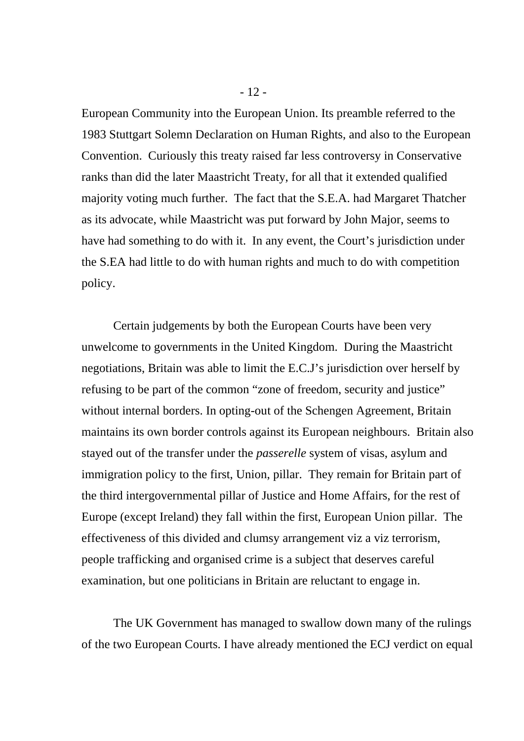European Community into the European Union. Its preamble referred to the 1983 Stuttgart Solemn Declaration on Human Rights, and also to the European Convention. Curiously this treaty raised far less controversy in Conservative ranks than did the later Maastricht Treaty, for all that it extended qualified majority voting much further. The fact that the S.E.A. had Margaret Thatcher as its advocate, while Maastricht was put forward by John Major, seems to have had something to do with it. In any event, the Court's jurisdiction under the S.EA had little to do with human rights and much to do with competition policy.

 Certain judgements by both the European Courts have been very unwelcome to governments in the United Kingdom. During the Maastricht negotiations, Britain was able to limit the E.C.J's jurisdiction over herself by refusing to be part of the common "zone of freedom, security and justice" without internal borders. In opting-out of the Schengen Agreement, Britain maintains its own border controls against its European neighbours. Britain also stayed out of the transfer under the *passerelle* system of visas, asylum and immigration policy to the first, Union, pillar. They remain for Britain part of the third intergovernmental pillar of Justice and Home Affairs, for the rest of Europe (except Ireland) they fall within the first, European Union pillar. The effectiveness of this divided and clumsy arrangement viz a viz terrorism, people trafficking and organised crime is a subject that deserves careful examination, but one politicians in Britain are reluctant to engage in.

 The UK Government has managed to swallow down many of the rulings of the two European Courts. I have already mentioned the ECJ verdict on equal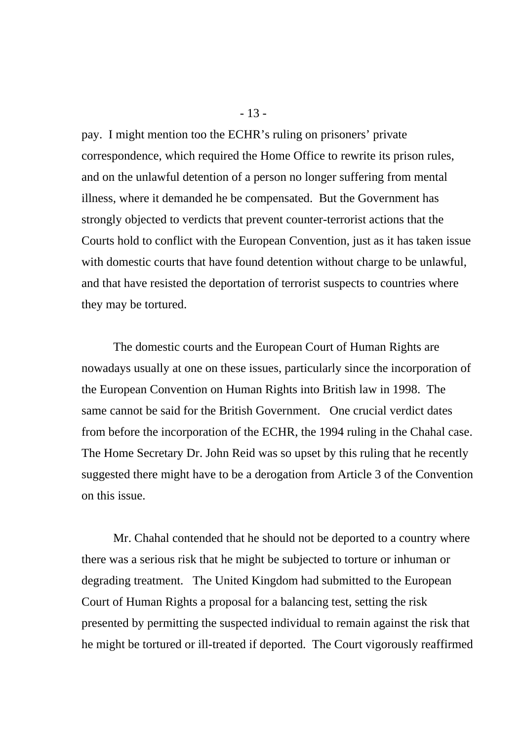pay. I might mention too the ECHR's ruling on prisoners' private correspondence, which required the Home Office to rewrite its prison rules, and on the unlawful detention of a person no longer suffering from mental illness, where it demanded he be compensated. But the Government has strongly objected to verdicts that prevent counter-terrorist actions that the Courts hold to conflict with the European Convention, just as it has taken issue with domestic courts that have found detention without charge to be unlawful, and that have resisted the deportation of terrorist suspects to countries where they may be tortured.

The domestic courts and the European Court of Human Rights are nowadays usually at one on these issues, particularly since the incorporation of the European Convention on Human Rights into British law in 1998. The same cannot be said for the British Government. One crucial verdict dates from before the incorporation of the ECHR, the 1994 ruling in the Chahal case. The Home Secretary Dr. John Reid was so upset by this ruling that he recently suggested there might have to be a derogation from Article 3 of the Convention on this issue.

Mr. Chahal contended that he should not be deported to a country where there was a serious risk that he might be subjected to torture or inhuman or degrading treatment. The United Kingdom had submitted to the European Court of Human Rights a proposal for a balancing test, setting the risk presented by permitting the suspected individual to remain against the risk that he might be tortured or ill-treated if deported. The Court vigorously reaffirmed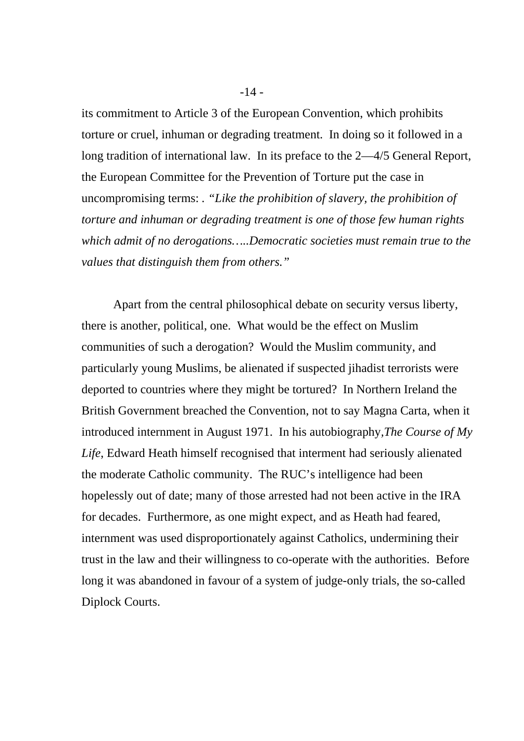its commitment to Article 3 of the European Convention, which prohibits torture or cruel, inhuman or degrading treatment. In doing so it followed in a long tradition of international law. In its preface to the 2—4/5 General Report, the European Committee for the Prevention of Torture put the case in uncompromising terms: *. "Like the prohibition of slavery, the prohibition of torture and inhuman or degrading treatment is one of those few human rights which admit of no derogations…..Democratic societies must remain true to the values that distinguish them from others."* 

Apart from the central philosophical debate on security versus liberty, there is another, political, one. What would be the effect on Muslim communities of such a derogation? Would the Muslim community, and particularly young Muslims, be alienated if suspected jihadist terrorists were deported to countries where they might be tortured? In Northern Ireland the British Government breached the Convention, not to say Magna Carta, when it introduced internment in August 1971. In his autobiography*,The Course of My Life*, Edward Heath himself recognised that interment had seriously alienated the moderate Catholic community. The RUC's intelligence had been hopelessly out of date; many of those arrested had not been active in the IRA for decades. Furthermore, as one might expect, and as Heath had feared, internment was used disproportionately against Catholics, undermining their trust in the law and their willingness to co-operate with the authorities. Before long it was abandoned in favour of a system of judge-only trials, the so-called Diplock Courts.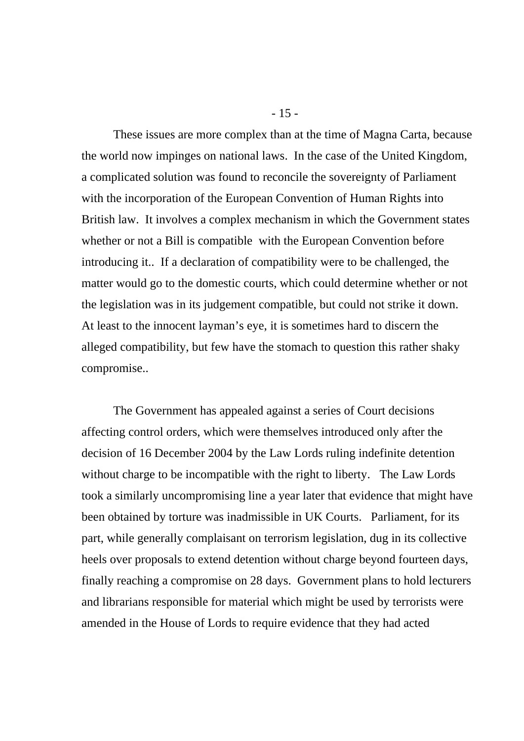These issues are more complex than at the time of Magna Carta, because the world now impinges on national laws. In the case of the United Kingdom, a complicated solution was found to reconcile the sovereignty of Parliament with the incorporation of the European Convention of Human Rights into British law. It involves a complex mechanism in which the Government states whether or not a Bill is compatible with the European Convention before introducing it.. If a declaration of compatibility were to be challenged, the matter would go to the domestic courts, which could determine whether or not the legislation was in its judgement compatible, but could not strike it down. At least to the innocent layman's eye, it is sometimes hard to discern the alleged compatibility, but few have the stomach to question this rather shaky compromise..

The Government has appealed against a series of Court decisions affecting control orders, which were themselves introduced only after the decision of 16 December 2004 by the Law Lords ruling indefinite detention without charge to be incompatible with the right to liberty. The Law Lords took a similarly uncompromising line a year later that evidence that might have been obtained by torture was inadmissible in UK Courts. Parliament, for its part, while generally complaisant on terrorism legislation, dug in its collective heels over proposals to extend detention without charge beyond fourteen days, finally reaching a compromise on 28 days. Government plans to hold lecturers and librarians responsible for material which might be used by terrorists were amended in the House of Lords to require evidence that they had acted

- 15 -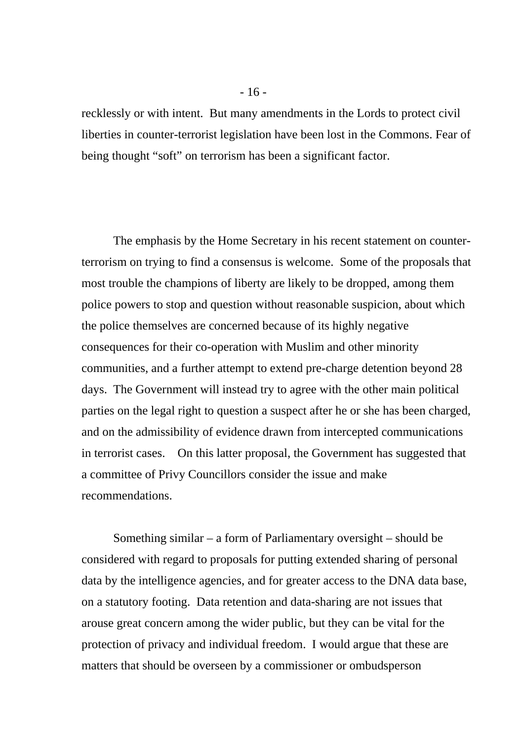recklessly or with intent. But many amendments in the Lords to protect civil liberties in counter-terrorist legislation have been lost in the Commons. Fear of being thought "soft" on terrorism has been a significant factor.

The emphasis by the Home Secretary in his recent statement on counterterrorism on trying to find a consensus is welcome. Some of the proposals that most trouble the champions of liberty are likely to be dropped, among them police powers to stop and question without reasonable suspicion, about which the police themselves are concerned because of its highly negative consequences for their co-operation with Muslim and other minority communities, and a further attempt to extend pre-charge detention beyond 28 days. The Government will instead try to agree with the other main political parties on the legal right to question a suspect after he or she has been charged, and on the admissibility of evidence drawn from intercepted communications in terrorist cases. On this latter proposal, the Government has suggested that a committee of Privy Councillors consider the issue and make recommendations.

Something similar – a form of Parliamentary oversight – should be considered with regard to proposals for putting extended sharing of personal data by the intelligence agencies, and for greater access to the DNA data base, on a statutory footing. Data retention and data-sharing are not issues that arouse great concern among the wider public, but they can be vital for the protection of privacy and individual freedom. I would argue that these are matters that should be overseen by a commissioner or ombudsperson